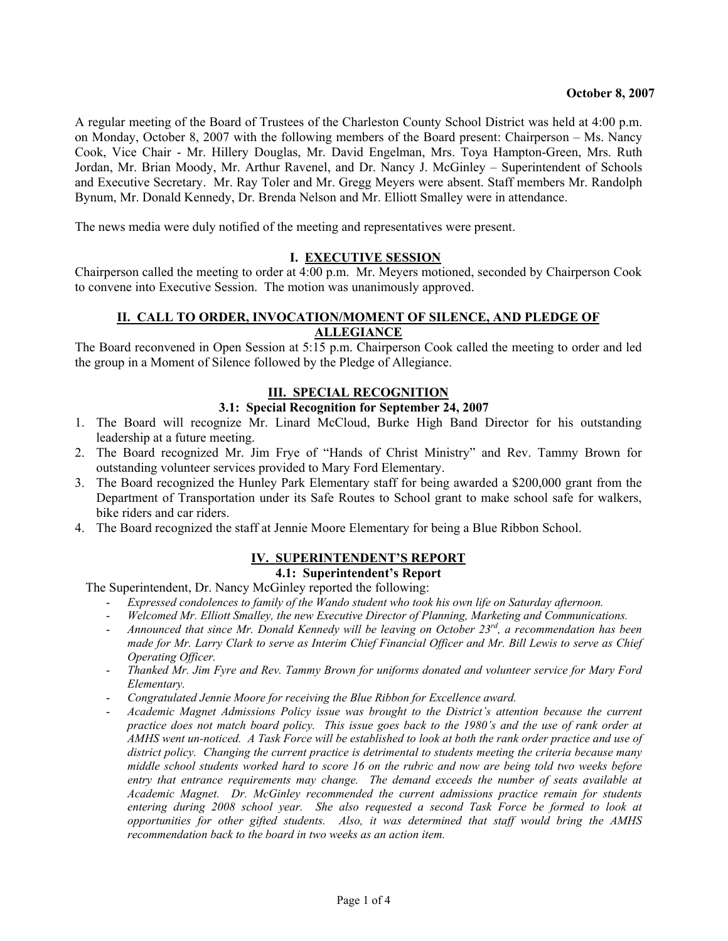A regular meeting of the Board of Trustees of the Charleston County School District was held at 4:00 p.m. on Monday, October 8, 2007 with the following members of the Board present: Chairperson – Ms. Nancy Cook, Vice Chair - Mr. Hillery Douglas, Mr. David Engelman, Mrs. Toya Hampton-Green, Mrs. Ruth Jordan, Mr. Brian Moody, Mr. Arthur Ravenel, and Dr. Nancy J. McGinley – Superintendent of Schools and Executive Secretary. Mr. Ray Toler and Mr. Gregg Meyers were absent. Staff members Mr. Randolph Bynum, Mr. Donald Kennedy, Dr. Brenda Nelson and Mr. Elliott Smalley were in attendance.

The news media were duly notified of the meeting and representatives were present.

#### **I. EXECUTIVE SESSION**

Chairperson called the meeting to order at 4:00 p.m. Mr. Meyers motioned, seconded by Chairperson Cook to convene into Executive Session. The motion was unanimously approved.

### **II. CALL TO ORDER, INVOCATION/MOMENT OF SILENCE, AND PLEDGE OF ALLEGIANCE**

The Board reconvened in Open Session at 5:15 p.m. Chairperson Cook called the meeting to order and led the group in a Moment of Silence followed by the Pledge of Allegiance.

## **III. SPECIAL RECOGNITION**

## **3.1: Special Recognition for September 24, 2007**

- 1. The Board will recognize Mr. Linard McCloud, Burke High Band Director for his outstanding leadership at a future meeting.
- 2. The Board recognized Mr. Jim Frye of "Hands of Christ Ministry" and Rev. Tammy Brown for outstanding volunteer services provided to Mary Ford Elementary.
- 3. The Board recognized the Hunley Park Elementary staff for being awarded a \$200,000 grant from the Department of Transportation under its Safe Routes to School grant to make school safe for walkers, bike riders and car riders.
- 4. The Board recognized the staff at Jennie Moore Elementary for being a Blue Ribbon School.

#### **IV. SUPERINTENDENT'S REPORT 4.1: Superintendent's Report**

The Superintendent, Dr. Nancy McGinley reported the following:

- *Expressed condolences to family of the Wando student who took his own life on Saturday afternoon.*
- *Welcomed Mr. Elliott Smalley, the new Executive Director of Planning, Marketing and Communications.*
- *Announced that since Mr. Donald Kennedy will be leaving on October 23rd, a recommendation has been made for Mr. Larry Clark to serve as Interim Chief Financial Officer and Mr. Bill Lewis to serve as Chief Operating Officer.*
- *Thanked Mr. Jim Fyre and Rev. Tammy Brown for uniforms donated and volunteer service for Mary Ford Elementary.*
- *Congratulated Jennie Moore for receiving the Blue Ribbon for Excellence award.*
- *Academic Magnet Admissions Policy issue was brought to the District's attention because the current practice does not match board policy. This issue goes back to the 1980's and the use of rank order at AMHS went un-noticed. A Task Force will be established to look at both the rank order practice and use of district policy. Changing the current practice is detrimental to students meeting the criteria because many middle school students worked hard to score 16 on the rubric and now are being told two weeks before entry that entrance requirements may change. The demand exceeds the number of seats available at Academic Magnet. Dr. McGinley recommended the current admissions practice remain for students entering during 2008 school year. She also requested a second Task Force be formed to look at opportunities for other gifted students. Also, it was determined that staff would bring the AMHS recommendation back to the board in two weeks as an action item.*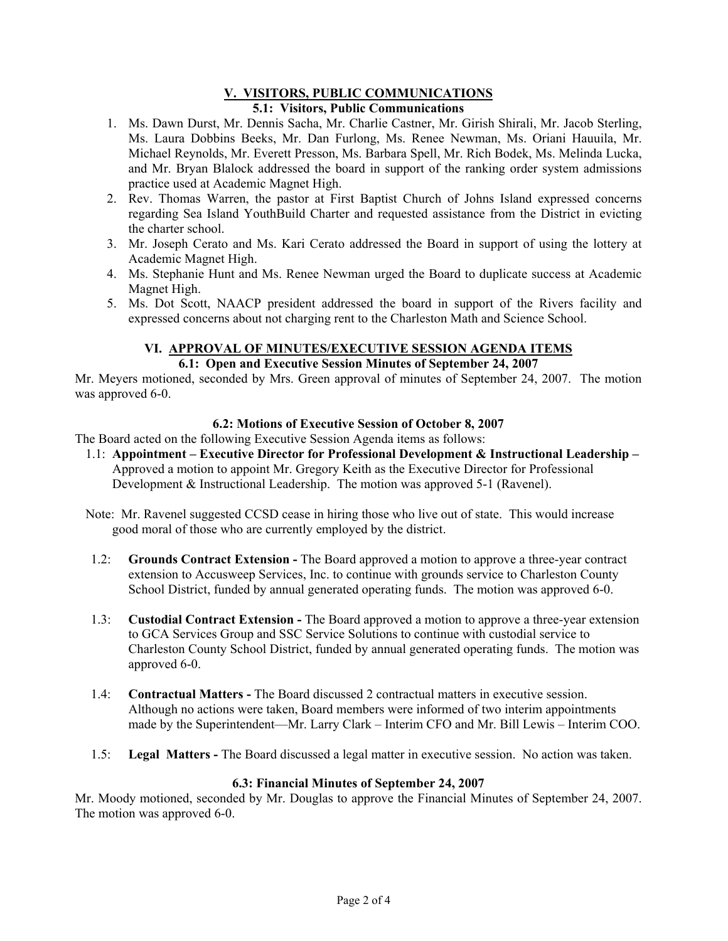#### **V. VISITORS, PUBLIC COMMUNICATIONS 5.1: Visitors, Public Communications**

- 1. Ms. Dawn Durst, Mr. Dennis Sacha, Mr. Charlie Castner, Mr. Girish Shirali, Mr. Jacob Sterling, Ms. Laura Dobbins Beeks, Mr. Dan Furlong, Ms. Renee Newman, Ms. Oriani Hauuila, Mr. Michael Reynolds, Mr. Everett Presson, Ms. Barbara Spell, Mr. Rich Bodek, Ms. Melinda Lucka, and Mr. Bryan Blalock addressed the board in support of the ranking order system admissions practice used at Academic Magnet High.
- 2. Rev. Thomas Warren, the pastor at First Baptist Church of Johns Island expressed concerns regarding Sea Island YouthBuild Charter and requested assistance from the District in evicting the charter school.
- 3. Mr. Joseph Cerato and Ms. Kari Cerato addressed the Board in support of using the lottery at Academic Magnet High.
- 4. Ms. Stephanie Hunt and Ms. Renee Newman urged the Board to duplicate success at Academic Magnet High.
- 5. Ms. Dot Scott, NAACP president addressed the board in support of the Rivers facility and expressed concerns about not charging rent to the Charleston Math and Science School.

## **VI. APPROVAL OF MINUTES/EXECUTIVE SESSION AGENDA ITEMS**

# **6.1: Open and Executive Session Minutes of September 24, 2007**

Mr. Meyers motioned, seconded by Mrs. Green approval of minutes of September 24, 2007. The motion was approved 6-0.

## **6.2: Motions of Executive Session of October 8, 2007**

The Board acted on the following Executive Session Agenda items as follows:

- 1.1: **Appointment Executive Director for Professional Development & Instructional Leadership**  Approved a motion to appoint Mr. Gregory Keith as the Executive Director for Professional Development & Instructional Leadership. The motion was approved 5-1 (Ravenel).
- Note: Mr. Ravenel suggested CCSD cease in hiring those who live out of state. This would increase good moral of those who are currently employed by the district.
- 1.2: **Grounds Contract Extension** The Board approved a motion to approve a three-year contract extension to Accusweep Services, Inc. to continue with grounds service to Charleston County School District, funded by annual generated operating funds. The motion was approved 6-0.
- 1.3: **Custodial Contract Extension** The Board approved a motion to approve a three-year extension to GCA Services Group and SSC Service Solutions to continue with custodial service to Charleston County School District, funded by annual generated operating funds. The motion was approved 6-0.
- 1.4: **Contractual Matters** The Board discussed 2 contractual matters in executive session. Although no actions were taken, Board members were informed of two interim appointments made by the Superintendent—Mr. Larry Clark – Interim CFO and Mr. Bill Lewis – Interim COO.
- 1.5: **Legal Matters** The Board discussed a legal matter in executive session. No action was taken.

## **6.3: Financial Minutes of September 24, 2007**

Mr. Moody motioned, seconded by Mr. Douglas to approve the Financial Minutes of September 24, 2007. The motion was approved 6-0.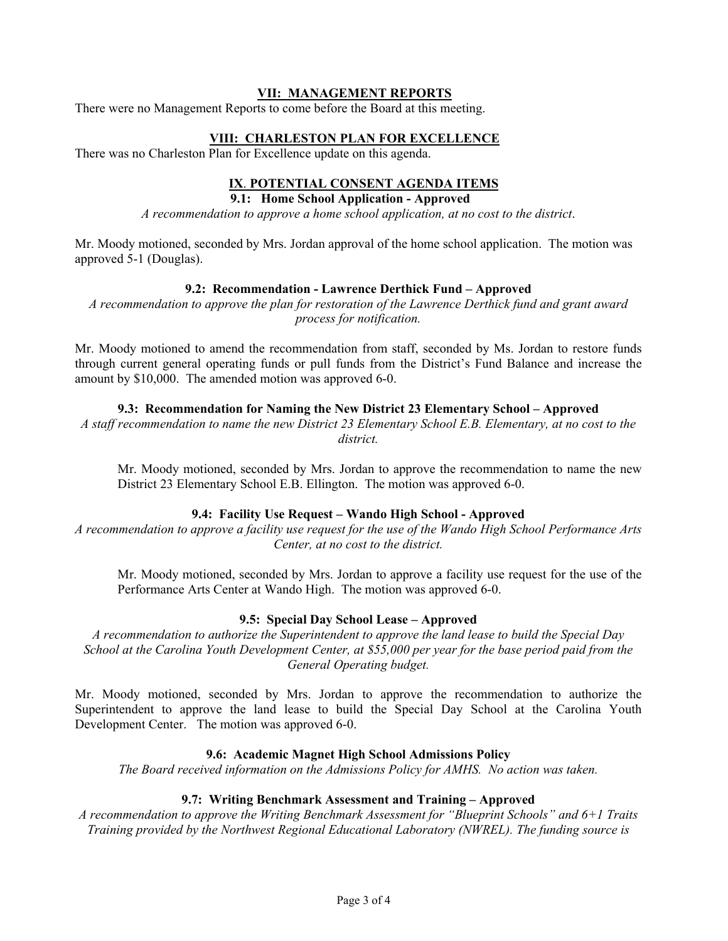#### **VII: MANAGEMENT REPORTS**

There were no Management Reports to come before the Board at this meeting.

#### **VIII: CHARLESTON PLAN FOR EXCELLENCE**

There was no Charleston Plan for Excellence update on this agenda.

## **IX**. **POTENTIAL CONSENT AGENDA ITEMS**

### **9.1: Home School Application - Approved**

*A recommendation to approve a home school application, at no cost to the district*.

Mr. Moody motioned, seconded by Mrs. Jordan approval of the home school application. The motion was approved 5-1 (Douglas).

#### **9.2: Recommendation - Lawrence Derthick Fund – Approved**

*A recommendation to approve the plan for restoration of the Lawrence Derthick fund and grant award process for notification.* 

Mr. Moody motioned to amend the recommendation from staff, seconded by Ms. Jordan to restore funds through current general operating funds or pull funds from the District's Fund Balance and increase the amount by \$10,000. The amended motion was approved 6-0.

#### **9.3: Recommendation for Naming the New District 23 Elementary School – Approved**

*A staff recommendation to name the new District 23 Elementary School E.B. Elementary, at no cost to the district.* 

Mr. Moody motioned, seconded by Mrs. Jordan to approve the recommendation to name the new District 23 Elementary School E.B. Ellington. The motion was approved 6-0.

#### **9.4: Facility Use Request – Wando High School - Approved**

*A recommendation to approve a facility use request for the use of the Wando High School Performance Arts Center, at no cost to the district.* 

Mr. Moody motioned, seconded by Mrs. Jordan to approve a facility use request for the use of the Performance Arts Center at Wando High. The motion was approved 6-0.

#### **9.5: Special Day School Lease – Approved**

*A recommendation to authorize the Superintendent to approve the land lease to build the Special Day School at the Carolina Youth Development Center, at \$55,000 per year for the base period paid from the General Operating budget.*

Mr. Moody motioned, seconded by Mrs. Jordan to approve the recommendation to authorize the Superintendent to approve the land lease to build the Special Day School at the Carolina Youth Development Center. The motion was approved 6-0.

#### **9.6: Academic Magnet High School Admissions Policy**

*The Board received information on the Admissions Policy for AMHS. No action was taken.* 

#### **9.7: Writing Benchmark Assessment and Training – Approved**

*A recommendation to approve the Writing Benchmark Assessment for "Blueprint Schools" and 6+1 Traits Training provided by the Northwest Regional Educational Laboratory (NWREL). The funding source is*